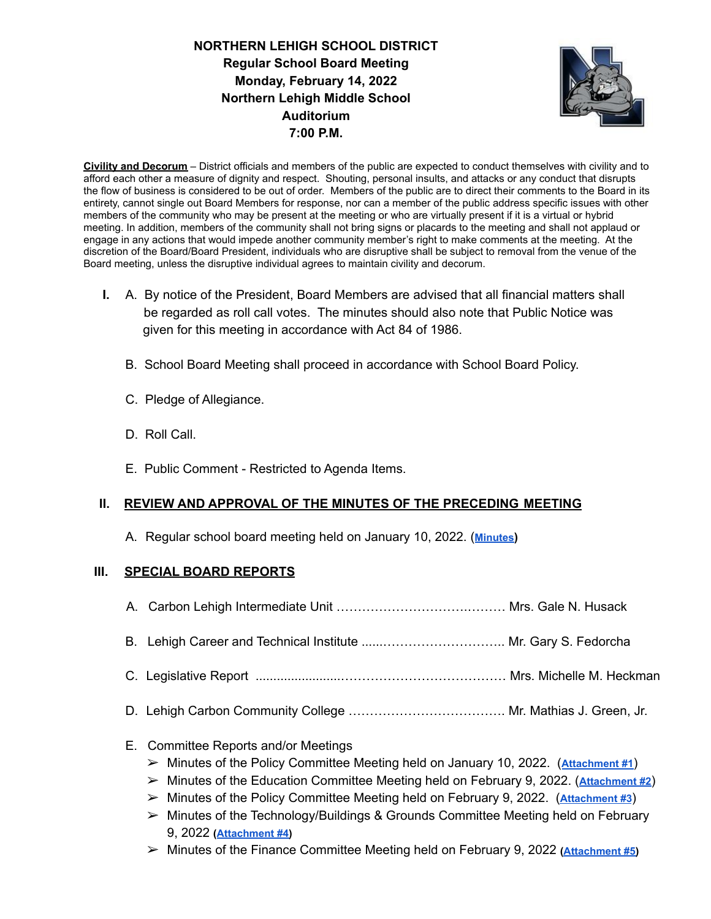# **NORTHERN LEHIGH SCHOOL DISTRICT Regular School Board Meeting Monday, February 14, 2022 Northern Lehigh Middle School Auditorium 7:00 P.M.**



**Civility and Decorum** – District officials and members of the public are expected to conduct themselves with civility and to afford each other a measure of dignity and respect. Shouting, personal insults, and attacks or any conduct that disrupts the flow of business is considered to be out of order. Members of the public are to direct their comments to the Board in its entirety, cannot single out Board Members for response, nor can a member of the public address specific issues with other members of the community who may be present at the meeting or who are virtually present if it is a virtual or hybrid meeting. In addition, members of the community shall not bring signs or placards to the meeting and shall not applaud or engage in any actions that would impede another community member's right to make comments at the meeting. At the discretion of the Board/Board President, individuals who are disruptive shall be subject to removal from the venue of the Board meeting, unless the disruptive individual agrees to maintain civility and decorum.

- **I.** A. By notice of the President, Board Members are advised that all financial matters shall be regarded as roll call votes. The minutes should also note that Public Notice was given for this meeting in accordance with Act 84 of 1986.
	- B. School Board Meeting shall proceed in accordance with School Board Policy.
	- C. Pledge of Allegiance.
	- D. Roll Call.
	- E. Public Comment Restricted to Agenda Items.

## **II. REVIEW AND APPROVAL OF THE MINUTES OF THE PRECEDING MEETING**

A. Regular school board meeting held on January 10, 2022. (**[Minutes](https://drive.google.com/file/d/1sqLbWbqo-QHeuP1U9wGoO9CFDR5bXQxx/view?usp=sharing))**

## **III. SPECIAL BOARD REPORTS**

- A. Carbon Lehigh Intermediate Unit ………………………….……… Mrs. Gale N. Husack
- B. Lehigh Career and Technical Institute ......……………………….. Mr. Gary S. Fedorcha
- C. Legislative Report ........................………………………………… Mrs. Michelle M. Heckman
- D. Lehigh Carbon Community College ………………………………. Mr. Mathias J. Green, Jr.

## E. Committee Reports and/or Meetings

- ➢ Minutes of the Policy Committee Meeting held on January 10, 2022. (**[Attachment #1](https://drive.google.com/file/d/1RxRVge35XHE1yG5wY4X-qIHEemKr0YrA/view?usp=sharing)**)
- ➢ Minutes of the Education Committee Meeting held on February 9, 2022. (**[Attachment #2](https://drive.google.com/file/d/1JTW-g8lhD8zJMQS3nAzSh9ZSd9inV_LL/view?usp=sharing)**)
- ➢ Minutes of the Policy Committee Meeting held on February 9, 2022. (**[Attachment #3](https://drive.google.com/file/d/1md7nH_gTv_3gWeQzw36-E_qDVmNSLpiw/view?usp=sharing)**)
- ➢ Minutes of the Technology/Buildings & Grounds Committee Meeting held on February 9, 2022 **([Attachment #4\)](https://drive.google.com/file/d/1IVfwtzsMmBaIVdHiwqdPIZvVcG2ypcZf/view?usp=sharing)**
- ➢ Minutes of the Finance Committee Meeting held on February 9, 2022 **[\(Attachment #5\)](https://drive.google.com/file/d/1d46cyNwNw1X649iiIjp37w5s-aT2_xAi/view?usp=sharing)**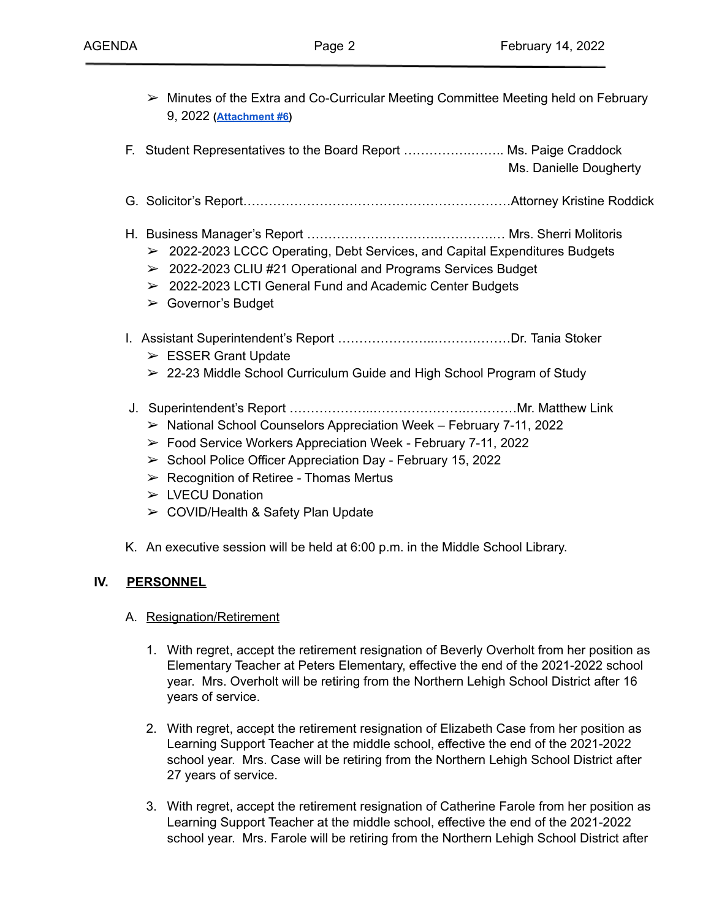- $\triangleright$  Minutes of the Extra and Co-Curricular Meeting Committee Meeting held on February 9, 2022 **([Attachment #6\)](https://drive.google.com/file/d/1WwvrgVZvSFwkNPGZGCZVjm88U4GVy50Z/view?usp=sharing)**
- F. Student Representatives to the Board Report …………….…….. Ms. Paige Craddock Ms. Danielle Dougherty
- G. Solicitor's Report………………………………………………………Attorney Kristine Roddick
- H. Business Manager's Report ………………………….………….… Mrs. Sherri Molitoris
	- $\geq$  2022-2023 LCCC Operating, Debt Services, and Capital Expenditures Budgets
	- ➢ 2022-2023 CLIU #21 Operational and Programs Services Budget
	- ➢ 2022-2023 LCTI General Fund and Academic Center Budgets
	- ➢ Governor's Budget
- I. Assistant Superintendent's Report …………………..………………Dr. Tania Stoker
	- $\triangleright$  ESSER Grant Update
	- $\geq$  22-23 Middle School Curriculum Guide and High School Program of Study
- J. Superintendent's Report ………………..………………….…………Mr. Matthew Link
	- $\triangleright$  National School Counselors Appreciation Week February 7-11, 2022
	- ➢ Food Service Workers Appreciation Week February 7-11, 2022
	- $\triangleright$  School Police Officer Appreciation Day February 15, 2022
	- $\triangleright$  Recognition of Retiree Thomas Mertus
	- ➢ LVECU Donation
	- ➢ COVID/Health & Safety Plan Update
- K. An executive session will be held at 6:00 p.m. in the Middle School Library.

## **IV. PERSONNEL**

- A. Resignation/Retirement
	- 1. With regret, accept the retirement resignation of Beverly Overholt from her position as Elementary Teacher at Peters Elementary, effective the end of the 2021-2022 school year. Mrs. Overholt will be retiring from the Northern Lehigh School District after 16 years of service.
	- 2. With regret, accept the retirement resignation of Elizabeth Case from her position as Learning Support Teacher at the middle school, effective the end of the 2021-2022 school year. Mrs. Case will be retiring from the Northern Lehigh School District after 27 years of service.
	- 3. With regret, accept the retirement resignation of Catherine Farole from her position as Learning Support Teacher at the middle school, effective the end of the 2021-2022 school year. Mrs. Farole will be retiring from the Northern Lehigh School District after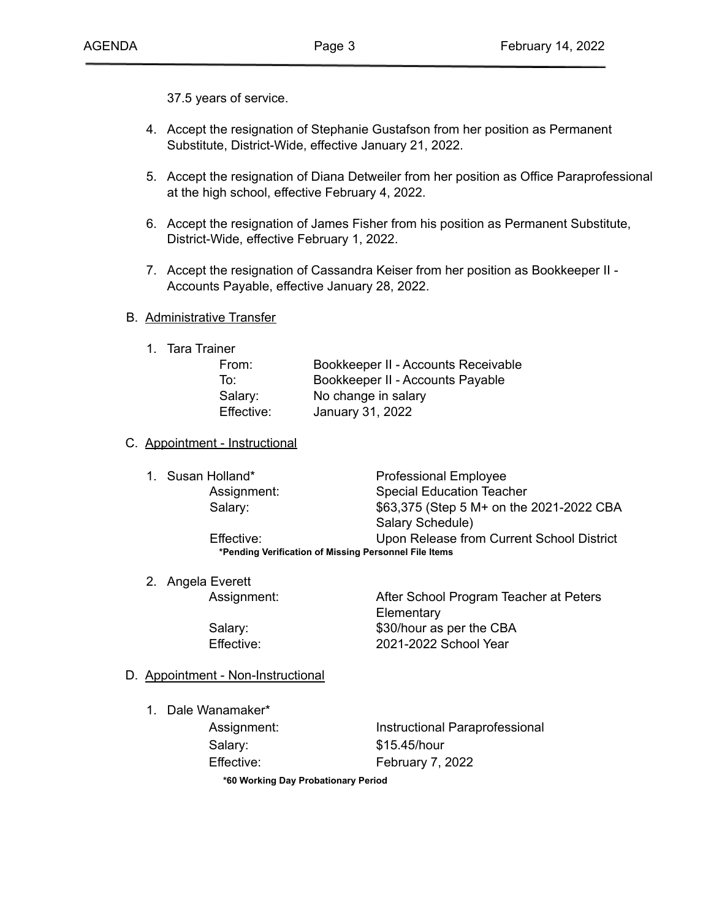37.5 years of service.

- 4. Accept the resignation of Stephanie Gustafson from her position as Permanent Substitute, District-Wide, effective January 21, 2022.
- 5. Accept the resignation of Diana Detweiler from her position as Office Paraprofessional at the high school, effective February 4, 2022.
- 6. Accept the resignation of James Fisher from his position as Permanent Substitute, District-Wide, effective February 1, 2022.
- 7. Accept the resignation of Cassandra Keiser from her position as Bookkeeper II Accounts Payable, effective January 28, 2022.

#### B. Administrative Transfer

1. Tara Trainer

| From:      | Bookkeeper II - Accounts Receivable |
|------------|-------------------------------------|
| To:        | Bookkeeper II - Accounts Payable    |
| Salary:    | No change in salary                 |
| Effective: | January 31, 2022                    |

#### C. Appointment - Instructional

| 1. Susan Holland* | <b>Professional Employee</b>                          |
|-------------------|-------------------------------------------------------|
| Assignment:       | <b>Special Education Teacher</b>                      |
| Salary:           | \$63,375 (Step 5 M+ on the 2021-2022 CBA              |
|                   | Salary Schedule)                                      |
| Effective:        | Upon Release from Current School District             |
|                   | *Pending Verification of Missing Personnel File Items |

2. Angela Everett

Assignment: After School Program Teacher at Peters **Elementary** Salary: \$30/hour as per the CBA Effective: 2021-2022 School Year

### D. Appointment - Non-Instructional

1. Dale Wanamaker\*

Assignment: **Instructional Paraprofessional** Salary: \$15.45/hour Effective: February 7, 2022

**\*60 Working Day Probationary Period**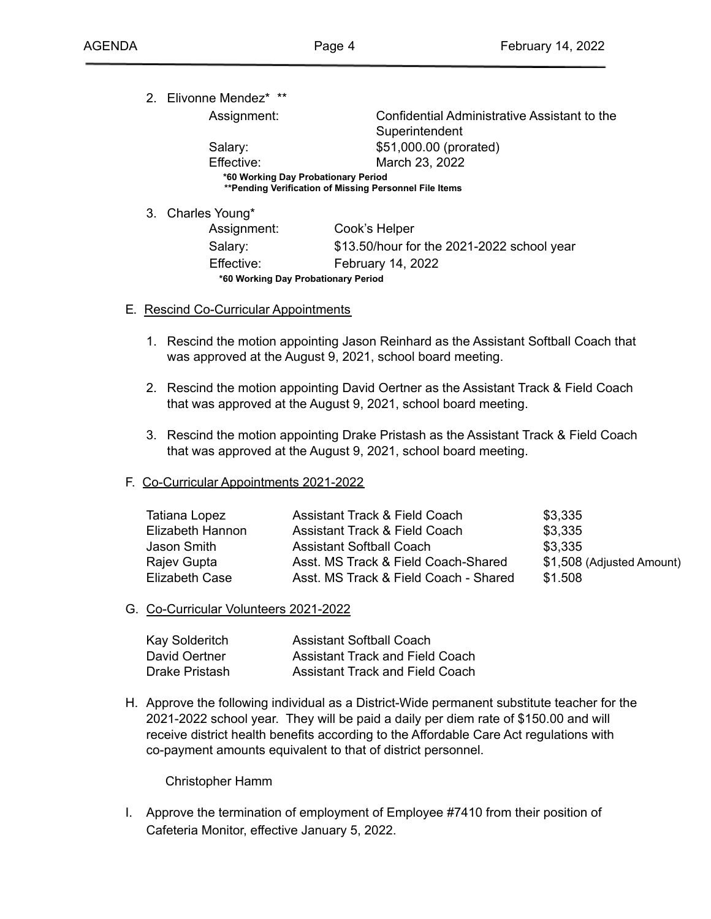2. Elivonne Mendez\* \*\*

Assignment: Confidential Administrative Assistant to the Superintendent Salary: \$51,000.00 (prorated) Effective: March 23, 2022

**\*60 Working Day Probationary Period \*\*Pending Verification of Missing Personnel File Items**

3. Charles Young\*

| Assignment:                         | Cook's Helper                              |  |
|-------------------------------------|--------------------------------------------|--|
| Salary:                             | \$13.50/hour for the 2021-2022 school year |  |
| Effective:                          | February 14, 2022                          |  |
| *60 Working Day Probationary Period |                                            |  |
|                                     |                                            |  |

### E**.** Rescind Co-Curricular Appointments

- 1. Rescind the motion appointing Jason Reinhard as the Assistant Softball Coach that was approved at the August 9, 2021, school board meeting.
- 2. Rescind the motion appointing David Oertner as the Assistant Track & Field Coach that was approved at the August 9, 2021, school board meeting.
- 3. Rescind the motion appointing Drake Pristash as the Assistant Track & Field Coach that was approved at the August 9, 2021, school board meeting.

### F. Co-Curricular Appointments 2021-2022

| Tatiana Lopez    | Assistant Track & Field Coach         | \$3,335                   |
|------------------|---------------------------------------|---------------------------|
| Elizabeth Hannon | Assistant Track & Field Coach         | \$3,335                   |
| Jason Smith      | <b>Assistant Softball Coach</b>       | \$3,335                   |
| Rajev Gupta      | Asst. MS Track & Field Coach-Shared   | \$1,508 (Adjusted Amount) |
| Elizabeth Case   | Asst. MS Track & Field Coach - Shared | \$1.508                   |

## G. Co-Curricular Volunteers 2021-2022

| Kay Solderitch | <b>Assistant Softball Coach</b>        |
|----------------|----------------------------------------|
| David Oertner  | <b>Assistant Track and Field Coach</b> |
| Drake Pristash | Assistant Track and Field Coach        |

H. Approve the following individual as a District-Wide permanent substitute teacher for the 2021-2022 school year. They will be paid a daily per diem rate of \$150.00 and will receive district health benefits according to the Affordable Care Act regulations with co-payment amounts equivalent to that of district personnel.

### Christopher Hamm

I. Approve the termination of employment of Employee #7410 from their position of Cafeteria Monitor, effective January 5, 2022.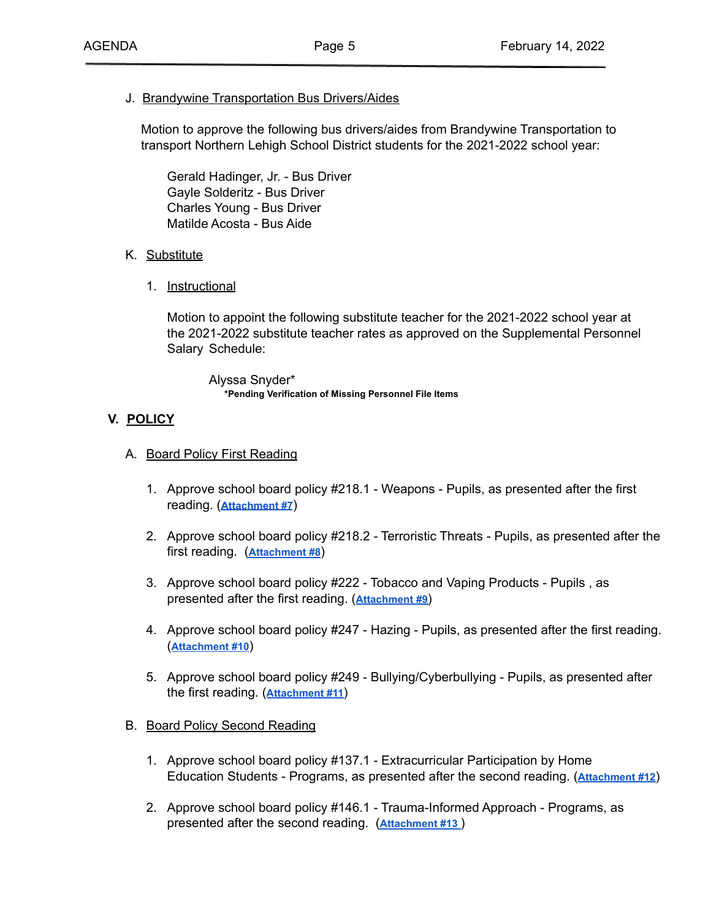### J. Brandywine Transportation Bus Drivers/Aides

Motion to approve the following bus drivers/aides from Brandywine Transportation to transport Northern Lehigh School District students for the 2021-2022 school year:

Gerald Hadinger, Jr. - Bus Driver Gayle Solderitz - Bus Driver Charles Young - Bus Driver Matilde Acosta - Bus Aide

### K. Substitute

1. Instructional

Motion to appoint the following substitute teacher for the 2021-2022 school year at the 2021-2022 substitute teacher rates as approved on the Supplemental Personnel Salary Schedule:

Alyssa Snyder\* **\*Pending Verification of Missing Personnel File Items**

### **V. POLICY**

- A. Board Policy First Reading
	- 1. Approve school board policy #218.1 Weapons Pupils, as presented after the first reading. (**[Attachment #7](https://drive.google.com/file/d/1JLMYOroQcWIYtKDFvKy4qRh_Z-Qd5UQR/view?usp=sharing)**)
	- 2. Approve school board policy #218.2 Terroristic Threats Pupils, as presented after the first reading. (**[Attachment #8](https://drive.google.com/file/d/1XjgDt8Nr43pFh7g7VdvXtGsOY6qMxAYL/view?usp=sharing)**)
	- 3. Approve school board policy #222 Tobacco and Vaping Products Pupils , as presented after the first reading. (**[Attachment #9](https://drive.google.com/file/d/1GE_RWnfmbpN4x-GhVCa7c2pa11qRS04z/view?usp=sharing)**)
	- 4. Approve school board policy #247 Hazing Pupils, as presented after the first reading. (**[Attachment #10](https://drive.google.com/file/d/1YrSa_3Z_3cMeN2ltrV3bul9Bqz2jSWeA/view?usp=sharing)**)
	- 5. Approve school board policy #249 Bullying/Cyberbullying Pupils, as presented after the first reading. (**[Attachment #11](https://drive.google.com/file/d/1yePToUlrvp0L9QCHXfEs7ib69-ONeaEr/view?usp=sharing)**)

### B. Board Policy Second Reading

- 1. Approve school board policy #137.1 Extracurricular Participation by Home Education Students - Programs, as presented after the second reading. (**[Attachment #12](https://drive.google.com/file/d/1dJIs2mbAHkEjIIXhBf0yauhGp1zAeZTB/view?usp=sharing)**)
- 2. Approve school board policy #146.1 Trauma-Informed Approach Programs, as presented after the second reading. (**[Attachment](https://drive.google.com/file/d/1y47NH6LXB4ERLYqjGV_w6-Rll4LXBm3B/view?usp=sharing) #13** )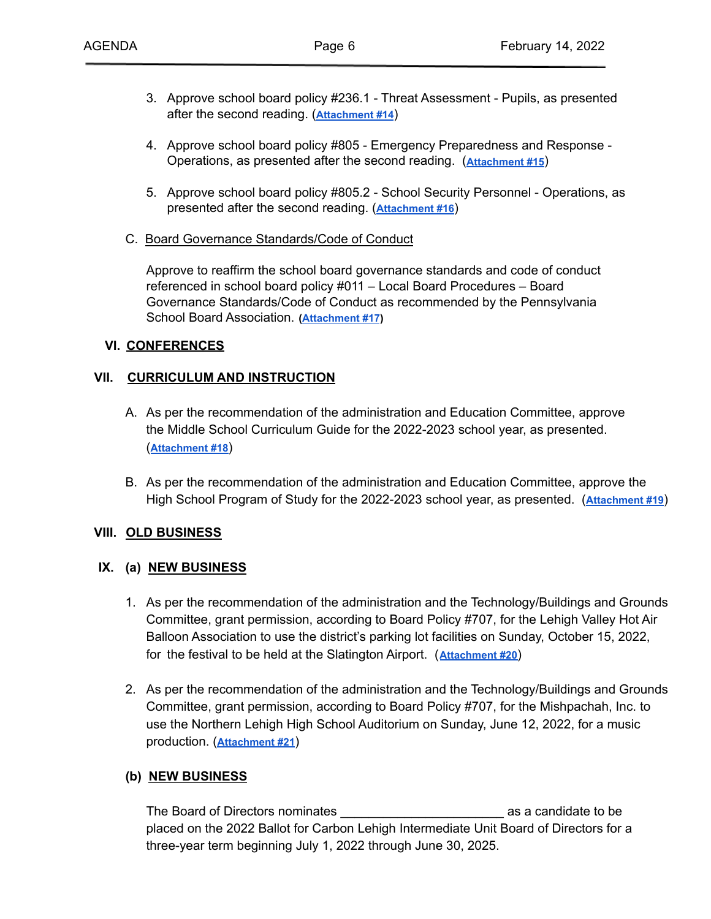- 3. Approve school board policy #236.1 Threat Assessment Pupils, as presented after the second reading. (**[Attachment #14](https://drive.google.com/file/d/1-R4wmb6A7LSR9KfDROEeAfNm7SuVL0_q/view?usp=sharing)**)
- 4. Approve school board policy #805 Emergency Preparedness and Response Operations, as presented after the second reading. (**[Attachment #15](https://drive.google.com/file/d/1KBPL_uE3nKXbC0h-3hkhPOlPjR5Hg5YK/view?usp=sharing)**)
- 5. Approve school board policy #805.2 School Security Personnel Operations, as presented after the second reading. (**[Attachment](https://drive.google.com/file/d/18jeiu8uj3nd-KLDhW894YrYuok9h9pIi/view?usp=sharing) #16**)
- C. Board Governance Standards/Code of Conduct

Approve to reaffirm the school board governance standards and code of conduct referenced in school board policy #011 – Local Board Procedures – Board Governance Standards/Code of Conduct as recommended by the Pennsylvania School Board Association. **[\(Attachment #17](https://drive.google.com/file/d/1yj_RRnuR0gUy1ishV-zNWfb7zBo9sQ5X/view?usp=sharing))**

### **VI. CONFERENCES**

### **VII. CURRICULUM AND INSTRUCTION**

- A. As per the recommendation of the administration and Education Committee, approve the Middle School Curriculum Guide for the 2022-2023 school year, as presented. (**[Attachment #18](https://drive.google.com/file/d/1hgevyGsxcEU2FAciJLTqzu4M0jlOI-Ln/view?usp=sharing)**)
- B. As per the recommendation of the administration and Education Committee, approve the High School Program of Study for the 2022-2023 school year, as presented. (**[Attachment #19](https://drive.google.com/file/d/1u2MpeXOnBU1c_SxsM_TpcYE5FgFkRX3r/view?usp=sharing)**)

### **VIII. OLD BUSINESS**

### **IX. (a) NEW BUSINESS**

- 1. As per the recommendation of the administration and the Technology/Buildings and Grounds Committee, grant permission, according to Board Policy #707, for the Lehigh Valley Hot Air Balloon Association to use the district's parking lot facilities on Sunday, October 15, 2022, for the festival to be held at the Slatington Airport. (**[Attachment #20](https://drive.google.com/file/d/1INVxa_-CjK_HehI3-9TW0abhQ8uwSTVd/view?usp=sharing)**)
- 2. As per the recommendation of the administration and the Technology/Buildings and Grounds Committee, grant permission, according to Board Policy #707, for the Mishpachah, Inc. to use the Northern Lehigh High School Auditorium on Sunday, June 12, 2022, for a music production. (**[Attachment #21](https://drive.google.com/file/d/1r2esU_LyILf1EFfih-QPOhkmmKTPQNqh/view?usp=sharing)**)

## **(b) NEW BUSINESS**

The Board of Directors nominates **Exercise 2** as a candidate to be placed on the 2022 Ballot for Carbon Lehigh Intermediate Unit Board of Directors for a three-year term beginning July 1, 2022 through June 30, 2025.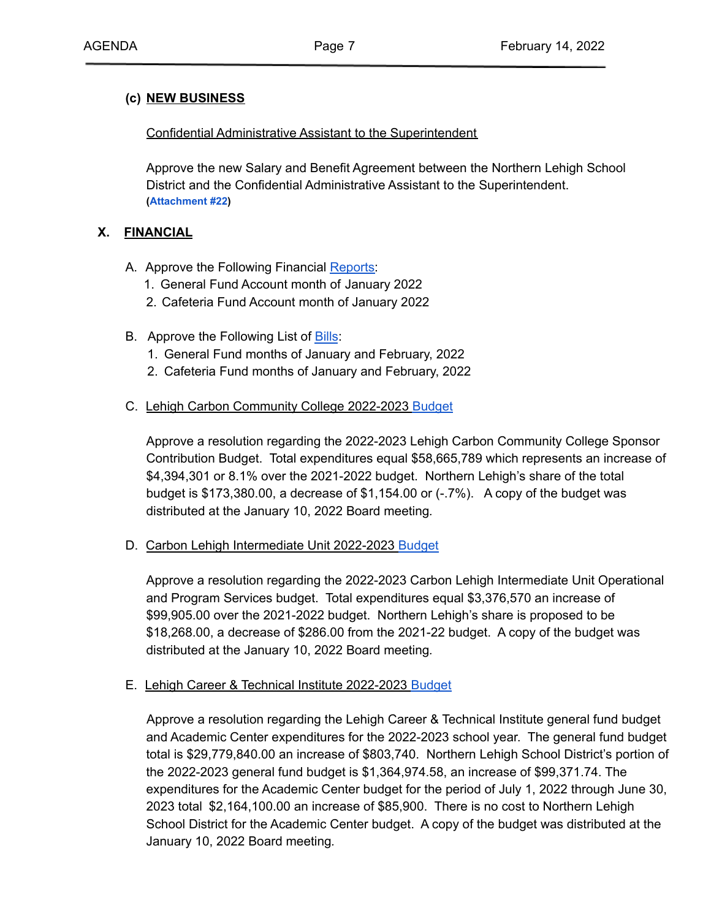### **(c) NEW BUSINESS**

Confidential Administrative Assistant to the Superintendent

Approve the new Salary and Benefit Agreement between the Northern Lehigh School District and the Confidential Administrative Assistant to the Superintendent. **([Attachment #22](https://drive.google.com/file/d/1C_0XVAumGXfmyoq1TrJyaZ7bNmnKkpCE/view?usp=sharing))**

### **X. FINANCIAL**

- A. Approve the Following Financial [Reports:](https://drive.google.com/file/d/1rVLCz4cvJ-RP0Y17WhNhttps://drive.google.com/file/d/1rVLCz4cvJ-RP0Y17WhNg48Fh2Yn-2Tnm/view?usp=sharingg48Fh2Yn-2Tnm/view?usp=sharing)
	- 1. General Fund Account month of January 2022
	- 2. Cafeteria Fund Account month of January 2022
- B. Approve the Following List of **[Bills](https://drive.google.com/file/d/1MAmmnh_1AGiHJqt_3RrRIIOF4gBb-3qU/view?usp=sharing)**:
	- 1. General Fund months of January and February, 2022
	- 2. Cafeteria Fund months of January and February, 2022

### C. Lehigh Carbon Community College 2022-2023 [Budget](https://drive.google.com/file/d/1aJTNP97aakJmvzA3Vl3l0k_83zar3KvN/view?usp=sharing)

Approve a resolution regarding the 2022-2023 Lehigh Carbon Community College Sponsor Contribution Budget. Total expenditures equal \$58,665,789 which represents an increase of \$4,394,301 or 8.1% over the 2021-2022 budget. Northern Lehigh's share of the total budget is  $$173,380.00$ , a decrease of  $$1,154.00$  or  $(-7%)$ . A copy of the budget was distributed at the January 10, 2022 Board meeting*.*

D. Carbon Lehigh Intermediate Unit 2022-2023 [Budget](https://drive.google.com/file/d/1_MvnHNjOrqO81KAo_4Ffjy2_bBf2qXyo/view?usp=sharing)

Approve a resolution regarding the 2022-2023 Carbon Lehigh Intermediate Unit Operational and Program Services budget. Total expenditures equal \$3,376,570 an increase of \$99,905.00 over the 2021-2022 budget. Northern Lehigh's share is proposed to be \$18,268.00, a decrease of \$286.00 from the 2021-22 budget. A copy of the budget was distributed at the January 10, 2022 Board meeting*.*

### E. Lehigh Career & Technical Institute 2022-2023 [Budget](https://drive.google.com/file/d/1K3CdCY3DQN5k4WkQmltyVG9-11U8LwXt/view?usp=sharing)

Approve a resolution regarding the Lehigh Career & Technical Institute general fund budget and Academic Center expenditures for the 2022-2023 school year. The general fund budget total is \$29,779,840.00 an increase of \$803,740. Northern Lehigh School District's portion of the 2022-2023 general fund budget is \$1,364,974.58, an increase of \$99,371.74. The expenditures for the Academic Center budget for the period of July 1, 2022 through June 30, 2023 total \$2,164,100.00 an increase of \$85,900. There is no cost to Northern Lehigh School District for the Academic Center budget. A copy of the budget was distributed at the January 10, 2022 Board meeting*.*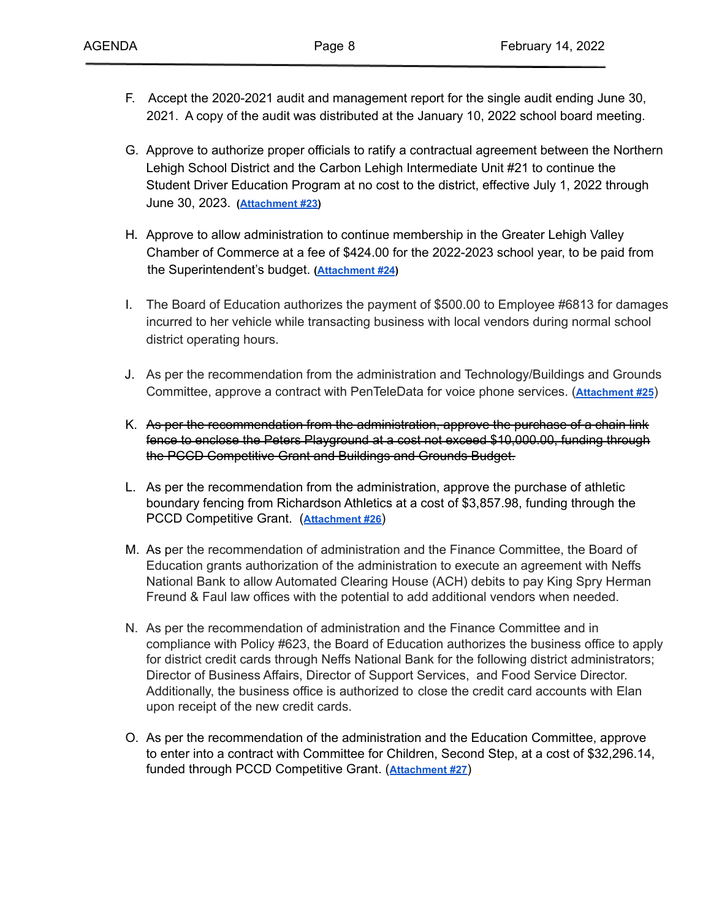- F. Accept the 2020-2021 audit and management report for the single audit ending June 30, 2021. A copy of the audit was distributed at the January 10, 2022 school board meeting.
- G. Approve to authorize proper officials to ratify a contractual agreement between the Northern Lehigh School District and the Carbon Lehigh Intermediate Unit #21 to continue the Student Driver Education Program at no cost to the district, effective July 1, 2022 through June 30, 2023. **([Attachment #23\)](https://drive.google.com/file/d/1R2DaCS09gMyqE2EOJEbYt9b_fNkiPiHc/view?usp=sharing)**
- H**.** Approve to allow administration to continue membership in the Greater Lehigh Valley Chamber of Commerce at a fee of \$424.00 for the 2022-2023 school year, to be paid from the Superintendent's budget. **[\(Attachment](https://drive.google.com/file/d/1Emh_8Qe0J_f9ljm92b5DEgYICgvs4teR/view?usp=sharing) #24)**
- I. The Board of Education authorizes the payment of \$500.00 to Employee #6813 for damages incurred to her vehicle while transacting business with local vendors during normal school district operating hours.
- J. As per the recommendation from the administration and Technology/Buildings and Grounds Committee, approve a contract with PenTeleData for voice phone services. (**[Attachment #25](https://drive.google.com/file/d/1_1vKbO9SvvLIvGbCPdFLC8z0isrBVLZR/view?usp=sharing)**)
- K. As per the recommendation from the administration, approve the purchase of a chain link fence to enclose the Peters Playground at a cost not exceed \$10,000.00, funding through the PCCD Competitive Grant and Buildings and Grounds Budget.
- L. As per the recommendation from the administration, approve the purchase of athletic boundary fencing from Richardson Athletics at a cost of \$3,857.98, funding through the PCCD Competitive Grant. (**[Attachment #26](https://drive.google.com/file/d/1pYi4Vk8OlxVptU2_5cvPaS51InjDCGeF/view?usp=sharing)**)
- M. As per the recommendation of administration and the Finance Committee, the Board of Education grants authorization of the administration to execute an agreement with Neffs National Bank to allow Automated Clearing House (ACH) debits to pay King Spry Herman Freund & Faul law offices with the potential to add additional vendors when needed.
- N. As per the recommendation of administration and the Finance Committee and in compliance with Policy #623, the Board of Education authorizes the business office to apply for district credit cards through Neffs National Bank for the following district administrators; Director of Business Affairs, Director of Support Services, and Food Service Director. Additionally, the business office is authorized to close the credit card accounts with Elan upon receipt of the new credit cards.
- O. As per the recommendation of the administration and the Education Committee, approve to enter into a contract with Committee for Children, Second Step, at a cost of \$32,296.14, funded through PCCD Competitive Grant. (**[Attachment](https://drive.google.com/file/d/1xXgSjmSkTX5gsqI3l2N6mDTNJzQ0ygHm/view?usp=sharing) #27**)